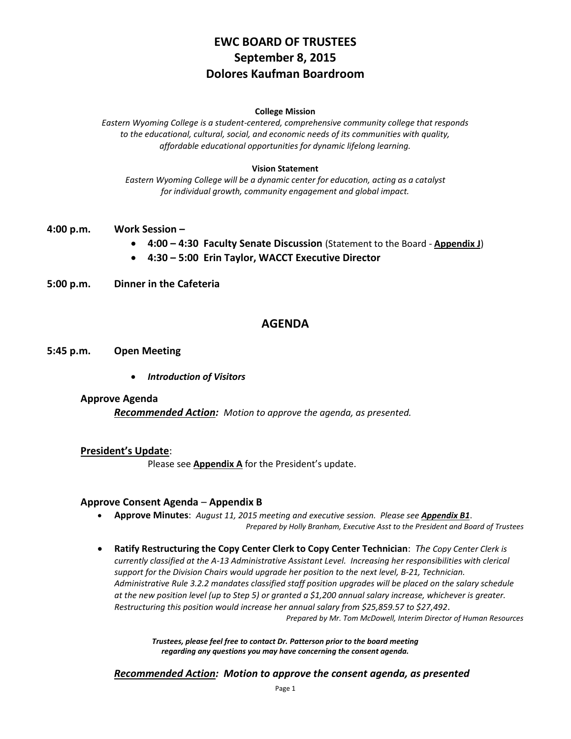# **EWC BOARD OF TRUSTEES September 8, 2015 Dolores Kaufman Boardroom**

#### **College Mission**

*Eastern Wyoming College is a student-centered, comprehensive community college that responds to the educational, cultural, social, and economic needs of its communities with quality, affordable educational opportunities for dynamic lifelong learning.*

#### **Vision Statement**

*Eastern Wyoming College will be a dynamic center for education, acting as a catalyst for individual growth, community engagement and global impact.*

- **4:00 p.m. Work Session –**
	- **4:00 – 4:30 Faculty Senate Discussion** (Statement to the Board **Appendix J**)
	- **4:30 – 5:00 Erin Taylor, WACCT Executive Director**
- **5:00 p.m. Dinner in the Cafeteria**

## **AGENDA**

### **5:45 p.m. Open Meeting**

*Introduction of Visitors*

### **Approve Agenda**

*Recommended Action: Motion to approve the agenda, as presented.*

### **President's Update**:

Please see **Appendix A** for the President's update.

### **Approve Consent Agenda** – **Appendix B**

- **Approve Minutes**: *August 11, 2015 meeting and executive session. Please see Appendix B1*. *Prepared by Holly Branham, Executive Asst to the President and Board of Trustees*
- **Ratify Restructuring the Copy Center Clerk to Copy Center Technician**: *The Copy Center Clerk is currently classified at the A-13 Administrative Assistant Level. Increasing her responsibilities with clerical support for the Division Chairs would upgrade her position to the next level, B-21, Technician. Administrative Rule 3.2.2 mandates classified staff position upgrades will be placed on the salary schedule at the new position level (up to Step 5) or granted a \$1,200 annual salary increase, whichever is greater. Restructuring this position would increase her annual salary from \$25,859.57 to \$27,492*. *Prepared by Mr. Tom McDowell, Interim Director of Human Resources*

*Trustees, please feel free to contact Dr. Patterson prior to the board meeting regarding any questions you may have concerning the consent agenda.*

*Recommended Action: Motion to approve the consent agenda, as presented*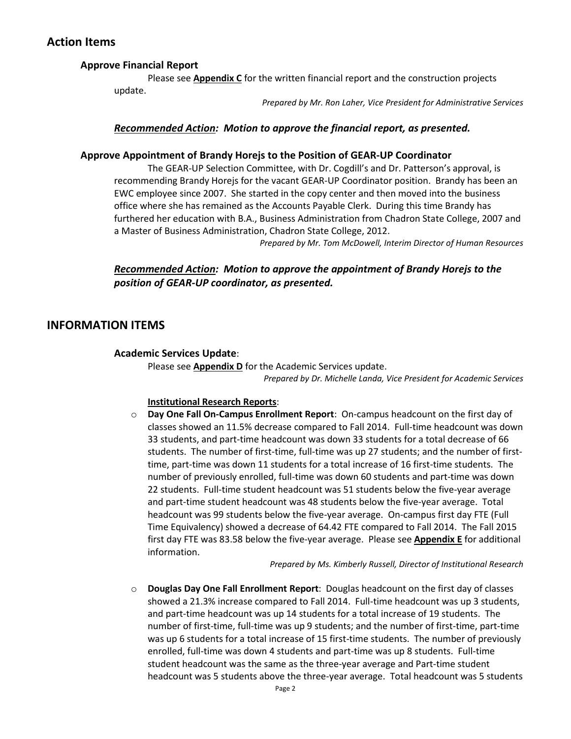# **Action Items**

# **Approve Financial Report**

Please see **Appendix C** for the written financial report and the construction projects update.

*Prepared by Mr. Ron Laher, Vice President for Administrative Services*

## *Recommended Action: Motion to approve the financial report, as presented.*

### **Approve Appointment of Brandy Horejs to the Position of GEAR-UP Coordinator**

The GEAR-UP Selection Committee, with Dr. Cogdill's and Dr. Patterson's approval, is recommending Brandy Horejs for the vacant GEAR-UP Coordinator position. Brandy has been an EWC employee since 2007. She started in the copy center and then moved into the business office where she has remained as the Accounts Payable Clerk. During this time Brandy has furthered her education with B.A., Business Administration from Chadron State College, 2007 and a Master of Business Administration, Chadron State College, 2012.

*Prepared by Mr. Tom McDowell, Interim Director of Human Resources*

# *Recommended Action: Motion to approve the appointment of Brandy Horejs to the position of GEAR-UP coordinator, as presented.*

# **INFORMATION ITEMS**

## **Academic Services Update**:

Please see **Appendix D** for the Academic Services update.

*Prepared by Dr. Michelle Landa, Vice President for Academic Services*

### **Institutional Research Reports**:

o **Day One Fall On-Campus Enrollment Report**: On-campus headcount on the first day of classes showed an 11.5% decrease compared to Fall 2014. Full-time headcount was down 33 students, and part-time headcount was down 33 students for a total decrease of 66 students. The number of first-time, full-time was up 27 students; and the number of firsttime, part-time was down 11 students for a total increase of 16 first-time students. The number of previously enrolled, full-time was down 60 students and part-time was down 22 students. Full-time student headcount was 51 students below the five-year average and part-time student headcount was 48 students below the five-year average. Total headcount was 99 students below the five-year average. On-campus first day FTE (Full Time Equivalency) showed a decrease of 64.42 FTE compared to Fall 2014. The Fall 2015 first day FTE was 83.58 below the five-year average. Please see **Appendix E** for additional information.

*Prepared by Ms. Kimberly Russell, Director of Institutional Research*

o **Douglas Day One Fall Enrollment Report**: Douglas headcount on the first day of classes showed a 21.3% increase compared to Fall 2014. Full-time headcount was up 3 students, and part-time headcount was up 14 students for a total increase of 19 students. The number of first-time, full-time was up 9 students; and the number of first-time, part-time was up 6 students for a total increase of 15 first-time students. The number of previously enrolled, full-time was down 4 students and part-time was up 8 students. Full-time student headcount was the same as the three-year average and Part-time student headcount was 5 students above the three-year average. Total headcount was 5 students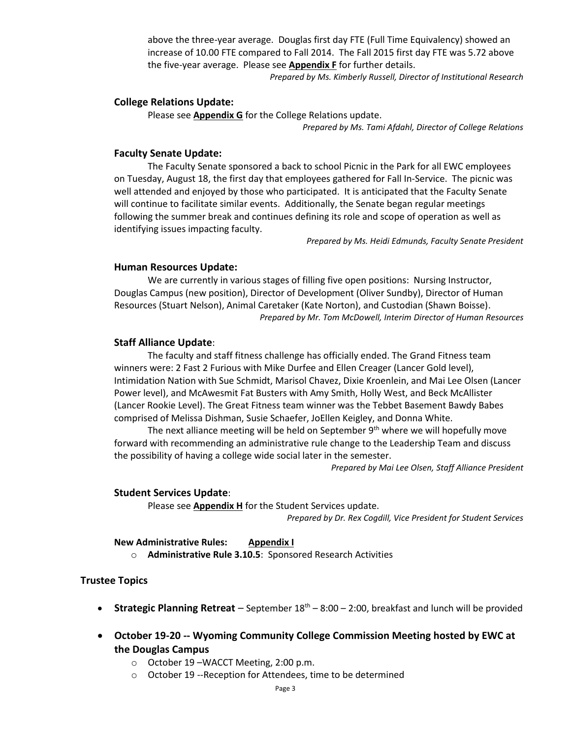above the three-year average. Douglas first day FTE (Full Time Equivalency) showed an increase of 10.00 FTE compared to Fall 2014. The Fall 2015 first day FTE was 5.72 above the five-year average. Please see **Appendix F** for further details.

*Prepared by Ms. Kimberly Russell, Director of Institutional Research*

### **College Relations Update:**

Please see **Appendix G** for the College Relations update. *Prepared by Ms. Tami Afdahl, Director of College Relations*

## **Faculty Senate Update:**

The Faculty Senate sponsored a back to school Picnic in the Park for all EWC employees on Tuesday, August 18, the first day that employees gathered for Fall In-Service. The picnic was well attended and enjoyed by those who participated. It is anticipated that the Faculty Senate will continue to facilitate similar events. Additionally, the Senate began regular meetings following the summer break and continues defining its role and scope of operation as well as identifying issues impacting faculty.

*Prepared by Ms. Heidi Edmunds, Faculty Senate President*

#### **Human Resources Update:**

We are currently in various stages of filling five open positions: Nursing Instructor, Douglas Campus (new position), Director of Development (Oliver Sundby), Director of Human Resources (Stuart Nelson), Animal Caretaker (Kate Norton), and Custodian (Shawn Boisse). *Prepared by Mr. Tom McDowell, Interim Director of Human Resources*

#### **Staff Alliance Update**:

The faculty and staff fitness challenge has officially ended. The Grand Fitness team winners were: 2 Fast 2 Furious with Mike Durfee and Ellen Creager (Lancer Gold level), Intimidation Nation with Sue Schmidt, Marisol Chavez, Dixie Kroenlein, and Mai Lee Olsen (Lancer Power level), and McAwesmit Fat Busters with Amy Smith, Holly West, and Beck McAllister (Lancer Rookie Level). The Great Fitness team winner was the Tebbet Basement Bawdy Babes comprised of Melissa Dishman, Susie Schaefer, JoEllen Keigley, and Donna White.

The next alliance meeting will be held on September  $9<sup>th</sup>$  where we will hopefully move forward with recommending an administrative rule change to the Leadership Team and discuss the possibility of having a college wide social later in the semester.

*Prepared by Mai Lee Olsen, Staff Alliance President*

### **Student Services Update**:

Please see **Appendix H** for the Student Services update. *Prepared by Dr. Rex Cogdill, Vice President for Student Services*

**New Administrative Rules: Appendix I** o **Administrative Rule 3.10.5**: Sponsored Research Activities

### **Trustee Topics**

- **Strategic Planning Retreat** September 18<sup>th</sup> 8:00 2:00, breakfast and lunch will be provided
- **October 19-20 -- Wyoming Community College Commission Meeting hosted by EWC at the Douglas Campus**
	- o October 19 –WACCT Meeting, 2:00 p.m.
	- o October 19 --Reception for Attendees, time to be determined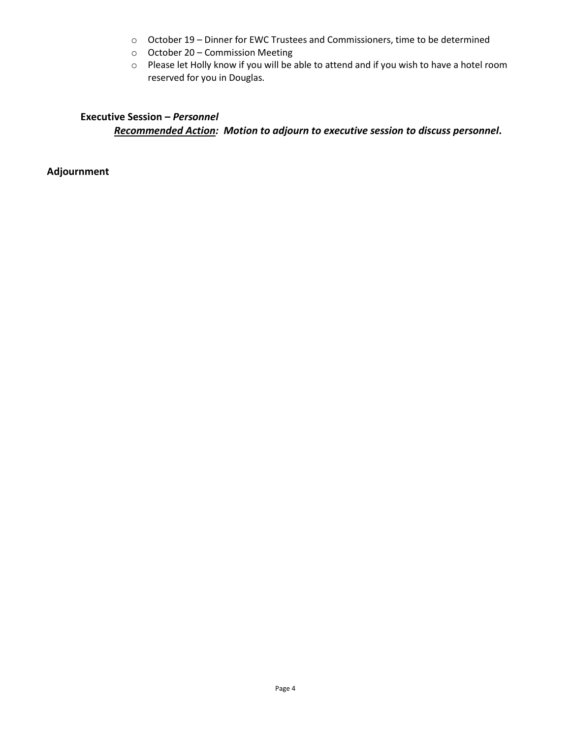- o October 19 Dinner for EWC Trustees and Commissioners, time to be determined
- o October 20 Commission Meeting
- o Please let Holly know if you will be able to attend and if you wish to have a hotel room reserved for you in Douglas.

# **Executive Session –** *Personnel Recommended Action: Motion to adjourn to executive session to discuss personnel.*

**Adjournment**